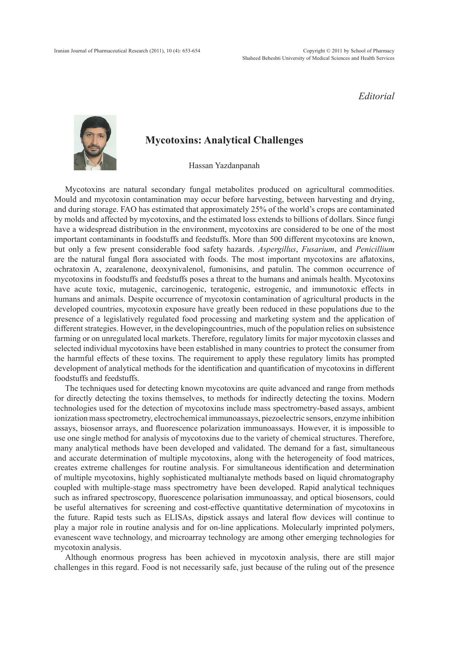*Editorial*



## **Mycotoxins: Analytical Challenges**

Hassan Yazdanpanah

Mycotoxins are natural secondary fungal metabolites produced on agricultural commodities. Mould and mycotoxin contamination may occur before harvesting, between harvesting and drying, and during storage. FAO has estimated that approximately 25% of the world's crops are contaminated by molds and affected by mycotoxins, and the estimated loss extends to billions of dollars. Since fungi have a widespread distribution in the environment, mycotoxins are considered to be one of the most important contaminants in foodstuffs and feedstuffs. More than 500 different mycotoxins are known, but only a few present considerable food safety hazards. *Aspergillus*, *Fusarium*, and *Penicillium* are the natural fungal flora associated with foods. The most important mycotoxins are aflatoxins, ochratoxin A, zearalenone, deoxynivalenol, fumonisins, and patulin. The common occurrence of mycotoxins in foodstuffs and feedstuffs poses a threat to the humans and animals health. Mycotoxins have acute toxic, mutagenic, carcinogenic, teratogenic, estrogenic, and immunotoxic effects in humans and animals. Despite occurrence of mycotoxin contamination of agricultural products in the developed countries, mycotoxin exposure have greatly been reduced in these populations due to the presence of a legislatively regulated food processing and marketing system and the application of different strategies. However, in the developingcountries, much of the population relies on subsistence farming or on unregulated local markets. Therefore, regulatory limits for major mycotoxin classes and selected individual mycotoxins have been established in many countries to protect the consumer from the harmful effects of these toxins. The requirement to apply these regulatory limits has prompted development of analytical methods for the identification and quantification of mycotoxins in different foodstuffs and feedstuffs.

The techniques used for detecting known mycotoxins are quite advanced and range from methods for directly detecting the toxins themselves, to methods for indirectly detecting the toxins. Modern technologies used for the detection of mycotoxins include mass spectrometry-based assays, ambient ionization mass spectrometry, electrochemical immunoassays, piezoelectric sensors, enzyme inhibition assays, biosensor arrays, and fluorescence polarization immunoassays. However, it is impossible to use one single method for analysis of mycotoxins due to the variety of chemical structures. Therefore, many analytical methods have been developed and validated. The demand for a fast, simultaneous and accurate determination of multiple mycotoxins, along with the heterogeneity of food matrices, creates extreme challenges for routine analysis. For simultaneous identification and determination of multiple mycotoxins, highly sophisticated multianalyte methods based on liquid chromatography coupled with multiple-stage mass spectrometry have been developed. Rapid analytical techniques such as infrared spectroscopy, fluorescence polarisation immunoassay, and optical biosensors, could be useful alternatives for screening and cost-effective quantitative determination of mycotoxins in the future. Rapid tests such as ELISAs, dipstick assays and lateral flow devices will continue to play a major role in routine analysis and for on-line applications. Molecularly imprinted polymers, evanescent wave technology, and microarray technology are among other emerging technologies for mycotoxin analysis.

Although enormous progress has been achieved in mycotoxin analysis, there are still major challenges in this regard. Food is not necessarily safe, just because of the ruling out of the presence